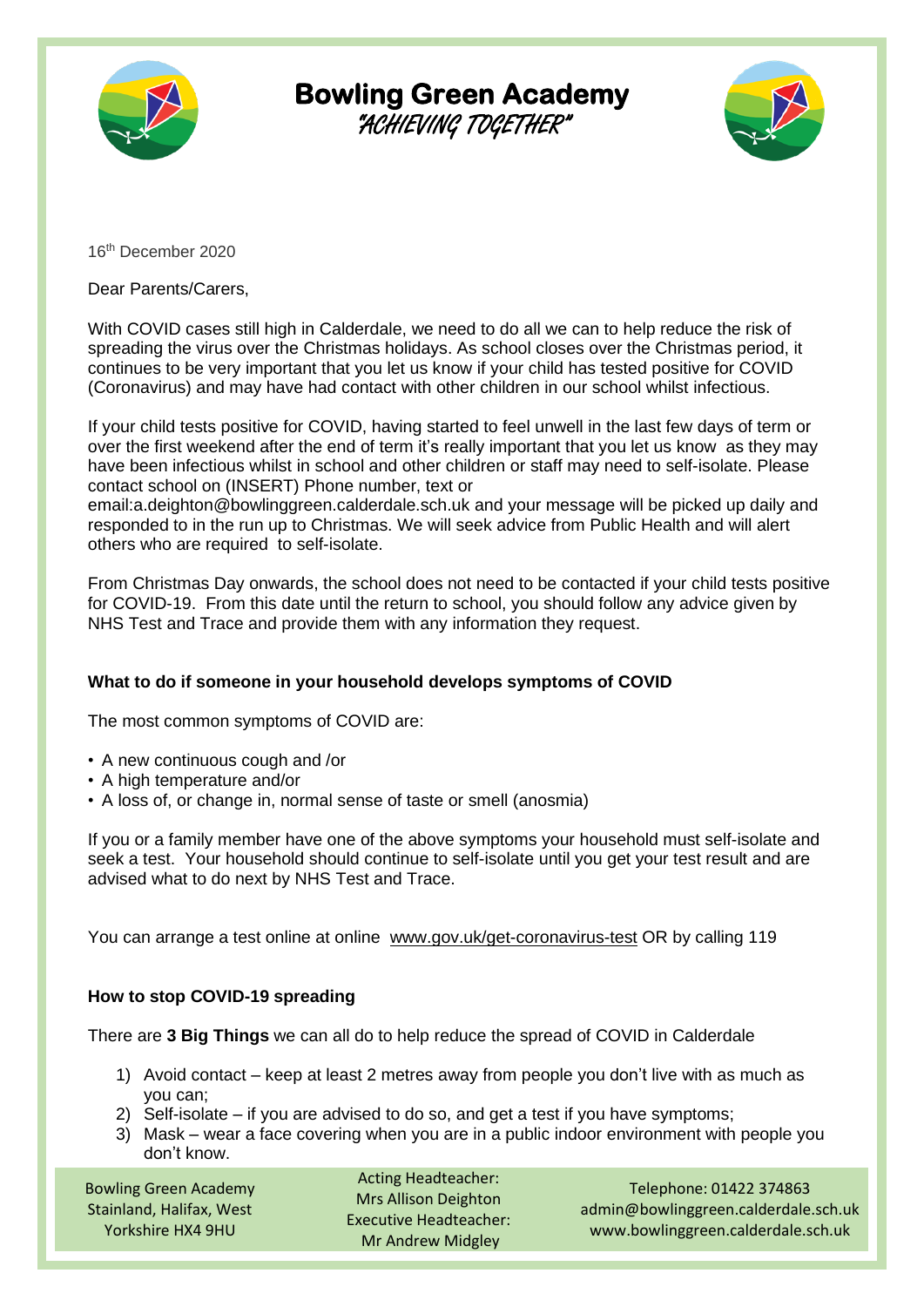

## **Bowling Green Academy**

"ACHIEVING TOGETHER"



16th December 2020

Dear Parents/Carers,

With COVID cases still high in Calderdale, we need to do all we can to help reduce the risk of spreading the virus over the Christmas holidays. As school closes over the Christmas period, it continues to be very important that you let us know if your child has tested positive for COVID (Coronavirus) and may have had contact with other children in our school whilst infectious.

If your child tests positive for COVID, having started to feel unwell in the last few days of term or over the first weekend after the end of term it's really important that you let us know as they may have been infectious whilst in school and other children or staff may need to self-isolate. Please contact school on (INSERT) Phone number, text or

email:a.deighton@bowlinggreen.calderdale.sch.uk and your message will be picked up daily and responded to in the run up to Christmas. We will seek advice from Public Health and will alert others who are required to self-isolate.

From Christmas Day onwards, the school does not need to be contacted if your child tests positive for COVID-19. From this date until the return to school, you should follow any advice given by NHS Test and Trace and provide them with any information they request.

## **What to do if someone in your household develops symptoms of COVID**

The most common symptoms of COVID are:

- A new continuous cough and /or
- A high temperature and/or
- A loss of, or change in, normal sense of taste or smell (anosmia)

If you or a family member have one of the above symptoms your household must self-isolate and seek a test. Your household should continue to self-isolate until you get your test result and are advised what to do next by NHS Test and Trace.

You can arrange a test online at online www.gov.uk/get-coronavirus-test OR by calling 119

## **How to stop COVID-19 spreading**

There are **3 Big Things** we can all do to help reduce the spread of COVID in Calderdale

- 1) Avoid contact keep at least 2 metres away from people you don't live with as much as you can;
- 2) Self-isolate if you are advised to do so, and get a test if you have symptoms;
- 3) Mask wear a face covering when you are in a public indoor environment with people you don't know.

Bowling Green Academy Stainland, Halifax, West Yorkshire HX4 9HU

Acting Headteacher: Mrs Allison Deighton Executive Headteacher: Mr Andrew Midgley

Telephone: 01422 374863 admin@bowlinggreen.calderdale.sch.uk www.bowlinggreen.calderdale.sch.uk